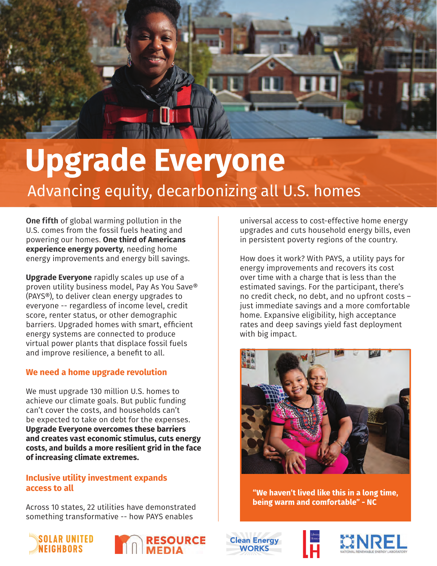

# **Upgrade Everyone** Advancing equity, decarbonizing all U.S. homes

**One fifth** of global warming pollution in the U.S. comes from the fossil fuels heating and powering our homes. **One third of Americans experience energy poverty**, needing home energy improvements and energy bill savings.

**Upgrade Everyone** rapidly scales up use of a proven utility business model, Pay As You Save® (PAYS®), to deliver clean energy upgrades to everyone -- regardless of income level, credit score, renter status, or other demographic barriers. Upgraded homes with smart, efficient energy systems are connected to produce virtual power plants that displace fossil fuels and improve resilience, a benefit to all.

# **We need a home upgrade revolution**

We must upgrade 130 million U.S. homes to achieve our climate goals. But public funding can't cover the costs, and households can't be expected to take on debt for the expenses. **Upgrade Everyone overcomes these barriers and creates vast economic stimulus, cuts energy costs, and builds a more resilient grid in the face of increasing climate extremes.**

# **Inclusive utility investment expands access to all**

Across 10 states, 22 utilities have demonstrated something transformative -- how PAYS enables





universal access to cost-effective home energy upgrades and cuts household energy bills, even in persistent poverty regions of the country.

How does it work? With PAYS, a utility pays for energy improvements and recovers its cost over time with a charge that is less than the estimated savings. For the participant, there's no credit check, no debt, and no upfront costs – just immediate savings and a more comfortable home. Expansive eligibility, high acceptance rates and deep savings yield fast deployment with big impact.



"We haven't lived like this in a long time, being warm and comfortable" - NC